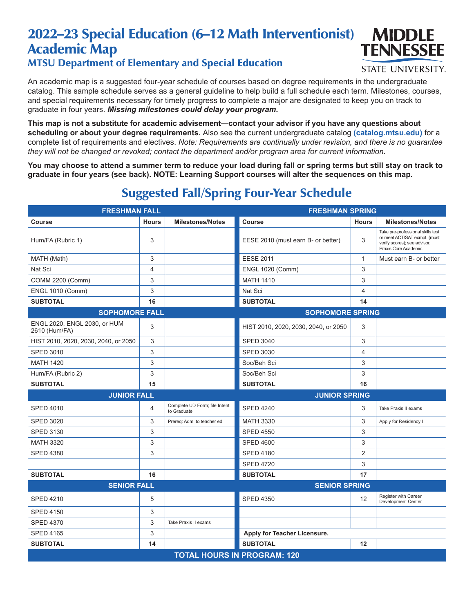## 2022–23 Special Education (6–12 Math Interventionist) Academic Map MTSU Department of Elementary and Special Education



## **STATE UNIVERSITY.**

An academic map is a suggested four-year schedule of courses based on degree requirements in the undergraduate catalog. This sample schedule serves as a general guideline to help build a full schedule each term. Milestones, courses, and special requirements necessary for timely progress to complete a major are designated to keep you on track to graduate in four years. *Missing milestones could delay your program.*

**This map is not a substitute for academic advisement—contact your advisor if you have any questions about scheduling or about your degree requirements.** Also see the current undergraduate catalog **(catalog.mtsu.edu)** for a complete list of requirements and electives. *Note: Requirements are continually under revision, and there is no guarantee they will not be changed or revoked; contact the department and/or program area for current information.*

**You may choose to attend a summer term to reduce your load during fall or spring terms but still stay on track to graduate in four years (see back). NOTE: Learning Support courses will alter the sequences on this map.**

| <b>FRESHMAN FALL</b>                          |              |                                              | <b>FRESHMAN SPRING</b>               |              |                                                                                                                           |  |  |
|-----------------------------------------------|--------------|----------------------------------------------|--------------------------------------|--------------|---------------------------------------------------------------------------------------------------------------------------|--|--|
| Course                                        | <b>Hours</b> | <b>Milestones/Notes</b>                      | Course                               | <b>Hours</b> | <b>Milestones/Notes</b>                                                                                                   |  |  |
| Hum/FA (Rubric 1)                             | 3            |                                              | EESE 2010 (must earn B- or better)   | 3            | Take pre-professional skills test<br>or meet ACT/SAT exmpt. (must<br>verify scores); see advisor.<br>Praxis Core Academic |  |  |
| MATH (Math)                                   | 3            |                                              | <b>EESE 2011</b>                     | $\mathbf{1}$ | Must earn B- or better                                                                                                    |  |  |
| Nat Sci                                       | 4            |                                              | <b>ENGL 1020 (Comm)</b>              | 3            |                                                                                                                           |  |  |
| COMM 2200 (Comm)                              | 3            |                                              | <b>MATH 1410</b>                     | 3            |                                                                                                                           |  |  |
| <b>ENGL 1010 (Comm)</b>                       | 3            |                                              | Nat Sci                              | 4            |                                                                                                                           |  |  |
| <b>SUBTOTAL</b>                               | 16           |                                              | <b>SUBTOTAL</b>                      | 14           |                                                                                                                           |  |  |
| <b>SOPHOMORE FALL</b>                         |              |                                              | <b>SOPHOMORE SPRING</b>              |              |                                                                                                                           |  |  |
| ENGL 2020, ENGL 2030, or HUM<br>2610 (Hum/FA) | 3            |                                              | HIST 2010, 2020, 2030, 2040, or 2050 | 3            |                                                                                                                           |  |  |
| HIST 2010, 2020, 2030, 2040, or 2050          | 3            |                                              | <b>SPED 3040</b>                     | 3            |                                                                                                                           |  |  |
| <b>SPED 3010</b>                              | 3            |                                              | <b>SPED 3030</b>                     | 4            |                                                                                                                           |  |  |
| <b>MATH 1420</b>                              | 3            |                                              | Soc/Beh Sci                          | 3            |                                                                                                                           |  |  |
| Hum/FA (Rubric 2)                             | 3            |                                              | Soc/Beh Sci                          | 3            |                                                                                                                           |  |  |
| <b>SUBTOTAL</b>                               | 15           |                                              | <b>SUBTOTAL</b>                      | 16           |                                                                                                                           |  |  |
| <b>JUNIOR FALL</b>                            |              |                                              | <b>JUNIOR SPRING</b>                 |              |                                                                                                                           |  |  |
| <b>SPED 4010</b>                              | 4            | Complete UD Form; file Intent<br>to Graduate | <b>SPED 4240</b>                     | 3            | Take Praxis II exams                                                                                                      |  |  |
| <b>SPED 3020</b>                              | 3            | Prereq: Adm. to teacher ed                   | <b>MATH 3330</b>                     | 3            | Apply for Residency I                                                                                                     |  |  |
| <b>SPED 3130</b>                              | 3            |                                              | <b>SPED 4550</b>                     | 3            |                                                                                                                           |  |  |
| <b>MATH 3320</b>                              | 3            |                                              | <b>SPED 4600</b>                     | 3            |                                                                                                                           |  |  |
| <b>SPED 4380</b>                              | 3            |                                              | <b>SPED 4180</b>                     | 2            |                                                                                                                           |  |  |
|                                               |              |                                              | <b>SPED 4720</b>                     | 3            |                                                                                                                           |  |  |
| <b>SUBTOTAL</b>                               | 16           |                                              | <b>SUBTOTAL</b>                      | 17           |                                                                                                                           |  |  |
| <b>SENIOR FALL</b>                            |              |                                              | <b>SENIOR SPRING</b>                 |              |                                                                                                                           |  |  |
| <b>SPED 4210</b>                              | 5            |                                              | <b>SPED 4350</b>                     | 12           | Register with Career<br>Development Center                                                                                |  |  |
| <b>SPED 4150</b>                              | 3            |                                              |                                      |              |                                                                                                                           |  |  |
| <b>SPED 4370</b>                              | 3            | Take Praxis II exams                         |                                      |              |                                                                                                                           |  |  |
| <b>SPED 4165</b>                              | 3            |                                              | Apply for Teacher Licensure.         |              |                                                                                                                           |  |  |
| <b>SUBTOTAL</b>                               | 14           |                                              | <b>SUBTOTAL</b>                      | 12           |                                                                                                                           |  |  |
| <b>TOTAL HOURS IN PROGRAM: 120</b>            |              |                                              |                                      |              |                                                                                                                           |  |  |

## Suggested Fall/Spring Four-Year Schedule